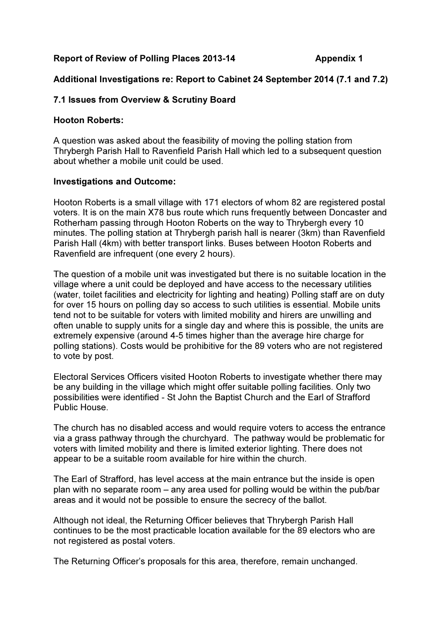## Report of Review of Polling Places 2013-14 Appendix 1

# Additional Investigations re: Report to Cabinet 24 September 2014 (7.1 and 7.2)

## 7.1 Issues from Overview & Scrutiny Board

#### Hooton Roberts:

A question was asked about the feasibility of moving the polling station from Thrybergh Parish Hall to Ravenfield Parish Hall which led to a subsequent question about whether a mobile unit could be used.

### Investigations and Outcome:

Hooton Roberts is a small village with 171 electors of whom 82 are registered postal voters. It is on the main X78 bus route which runs frequently between Doncaster and Rotherham passing through Hooton Roberts on the way to Thrybergh every 10 minutes. The polling station at Thrybergh parish hall is nearer (3km) than Ravenfield Parish Hall (4km) with better transport links. Buses between Hooton Roberts and Ravenfield are infrequent (one every 2 hours).

The question of a mobile unit was investigated but there is no suitable location in the village where a unit could be deployed and have access to the necessary utilities (water, toilet facilities and electricity for lighting and heating) Polling staff are on duty for over 15 hours on polling day so access to such utilities is essential. Mobile units tend not to be suitable for voters with limited mobility and hirers are unwilling and often unable to supply units for a single day and where this is possible, the units are extremely expensive (around 4-5 times higher than the average hire charge for polling stations). Costs would be prohibitive for the 89 voters who are not registered to vote by post.

Electoral Services Officers visited Hooton Roberts to investigate whether there may be any building in the village which might offer suitable polling facilities. Only two possibilities were identified - St John the Baptist Church and the Earl of Strafford Public House.

The church has no disabled access and would require voters to access the entrance via a grass pathway through the churchyard. The pathway would be problematic for voters with limited mobility and there is limited exterior lighting. There does not appear to be a suitable room available for hire within the church.

The Earl of Strafford, has level access at the main entrance but the inside is open plan with no separate room – any area used for polling would be within the pub/bar areas and it would not be possible to ensure the secrecy of the ballot.

Although not ideal, the Returning Officer believes that Thrybergh Parish Hall continues to be the most practicable location available for the 89 electors who are not registered as postal voters.

The Returning Officer's proposals for this area, therefore, remain unchanged.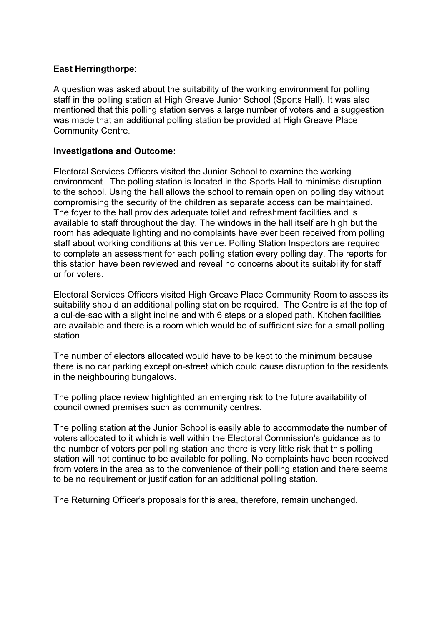## East Herringthorpe:

A question was asked about the suitability of the working environment for polling staff in the polling station at High Greave Junior School (Sports Hall). It was also mentioned that this polling station serves a large number of voters and a suggestion was made that an additional polling station be provided at High Greave Place Community Centre.

### Investigations and Outcome:

Electoral Services Officers visited the Junior School to examine the working environment. The polling station is located in the Sports Hall to minimise disruption to the school. Using the hall allows the school to remain open on polling day without compromising the security of the children as separate access can be maintained. The foyer to the hall provides adequate toilet and refreshment facilities and is available to staff throughout the day. The windows in the hall itself are high but the room has adequate lighting and no complaints have ever been received from polling staff about working conditions at this venue. Polling Station Inspectors are required to complete an assessment for each polling station every polling day. The reports for this station have been reviewed and reveal no concerns about its suitability for staff or for voters.

Electoral Services Officers visited High Greave Place Community Room to assess its suitability should an additional polling station be required. The Centre is at the top of a cul-de-sac with a slight incline and with 6 steps or a sloped path. Kitchen facilities are available and there is a room which would be of sufficient size for a small polling station.

The number of electors allocated would have to be kept to the minimum because there is no car parking except on-street which could cause disruption to the residents in the neighbouring bungalows.

The polling place review highlighted an emerging risk to the future availability of council owned premises such as community centres.

The polling station at the Junior School is easily able to accommodate the number of voters allocated to it which is well within the Electoral Commission's guidance as to the number of voters per polling station and there is very little risk that this polling station will not continue to be available for polling. No complaints have been received from voters in the area as to the convenience of their polling station and there seems to be no requirement or justification for an additional polling station.

The Returning Officer's proposals for this area, therefore, remain unchanged.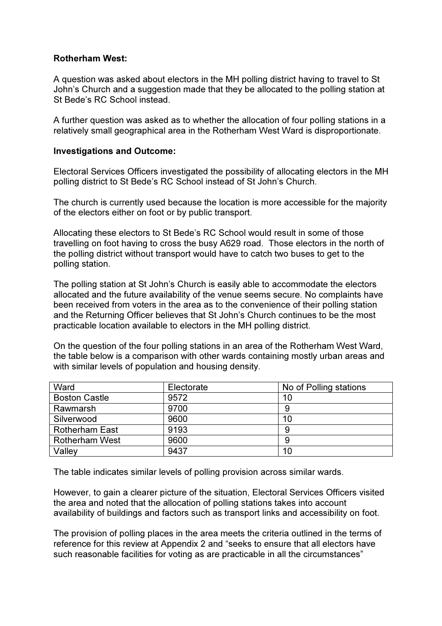## Rotherham West:

A question was asked about electors in the MH polling district having to travel to St John's Church and a suggestion made that they be allocated to the polling station at St Bede's RC School instead.

A further question was asked as to whether the allocation of four polling stations in a relatively small geographical area in the Rotherham West Ward is disproportionate.

#### Investigations and Outcome:

Electoral Services Officers investigated the possibility of allocating electors in the MH polling district to St Bede's RC School instead of St John's Church.

The church is currently used because the location is more accessible for the majority of the electors either on foot or by public transport.

Allocating these electors to St Bede's RC School would result in some of those travelling on foot having to cross the busy A629 road. Those electors in the north of the polling district without transport would have to catch two buses to get to the polling station.

The polling station at St John's Church is easily able to accommodate the electors allocated and the future availability of the venue seems secure. No complaints have been received from voters in the area as to the convenience of their polling station and the Returning Officer believes that St John's Church continues to be the most practicable location available to electors in the MH polling district.

On the question of the four polling stations in an area of the Rotherham West Ward, the table below is a comparison with other wards containing mostly urban areas and with similar levels of population and housing density.

| Ward                  | Electorate | No of Polling stations |
|-----------------------|------------|------------------------|
| <b>Boston Castle</b>  | 9572       | 10                     |
| Rawmarsh              | 9700       |                        |
| Silverwood            | 9600       | 10                     |
| <b>Rotherham East</b> | 9193       | 9                      |
| <b>Rotherham West</b> | 9600       | 9                      |
| Valley                | 9437       | 10                     |

The table indicates similar levels of polling provision across similar wards.

However, to gain a clearer picture of the situation, Electoral Services Officers visited the area and noted that the allocation of polling stations takes into account availability of buildings and factors such as transport links and accessibility on foot.

The provision of polling places in the area meets the criteria outlined in the terms of reference for this review at Appendix 2 and "seeks to ensure that all electors have such reasonable facilities for voting as are practicable in all the circumstances"